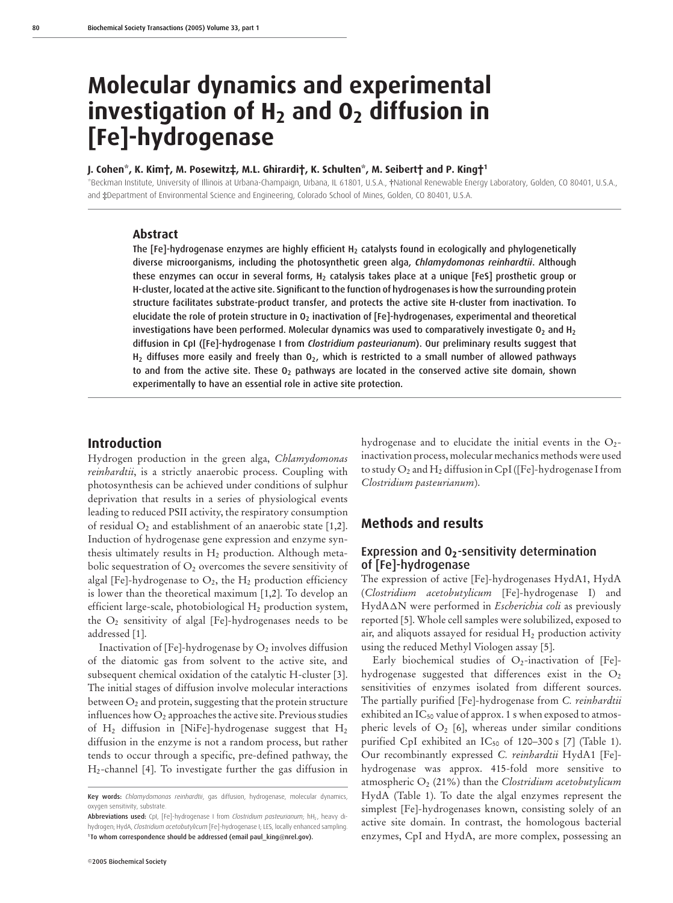# **Molecular dynamics and experimental investigation of H2 and O2 diffusion in [Fe]-hydrogenase**

#### **J. Cohen\*, K. Kim†, M. Posewitz‡, M.L. Ghirardi†, K. Schulten\*, M. Seibert† and P. King†1**

\*Beckman Institute, University of Illinois at Urbana-Champaign, Urbana, IL 61801, U.S.A., †National Renewable Energy Laboratory, Golden, CO 80401, U.S.A., and ‡Department of Environmental Science and Engineering, Colorado School of Mines, Golden, CO 80401, U.S.A.

#### **Abstract**

The  $[Fe]$ -hydrogenase enzymes are highly efficient  $H<sub>2</sub>$  catalysts found in ecologically and phylogenetically diverse microorganisms, including the photosynthetic green alga, *Chlamydomonas reinhardtii*. Although these enzymes can occur in several forms,  $H_2$  catalysis takes place at a unique [FeS] prosthetic group or H-cluster, located at the active site. Significant to the function of hydrogenases is how the surrounding protein structure facilitates substrate-product transfer, and protects the active site H-cluster from inactivation. To elucidate the role of protein structure in O<sub>2</sub> inactivation of [Fe]-hydrogenases, experimental and theoretical investigations have been performed. Molecular dynamics was used to comparatively investigate  $O<sub>2</sub>$  and  $H<sub>2</sub>$ diffusion in CpI ([Fe]-hydrogenase I from *Clostridium pasteurianum*). Our preliminary results suggest that  $H_2$  diffuses more easily and freely than  $O_2$ , which is restricted to a small number of allowed pathways to and from the active site. These  $O<sub>2</sub>$  pathways are located in the conserved active site domain, shown experimentally to have an essential role in active site protection.

#### **Introduction**

Hydrogen production in the green alga, *Chlamydomonas reinhardtii*, is a strictly anaerobic process. Coupling with photosynthesis can be achieved under conditions of sulphur deprivation that results in a series of physiological events leading to reduced PSII activity, the respiratory consumption of residual  $O_2$  and establishment of an anaerobic state [1,2]. Induction of hydrogenase gene expression and enzyme synthesis ultimately results in  $H_2$  production. Although metabolic sequestration of  $O_2$  overcomes the severe sensitivity of algal [Fe]-hydrogenase to  $O_2$ , the  $H_2$  production efficiency is lower than the theoretical maximum [1,2]. To develop an efficient large-scale, photobiological  $H_2$  production system, the  $O_2$  sensitivity of algal [Fe]-hydrogenases needs to be addressed [1].

Inactivation of  $[Fe]-hydrogenase$  by  $O<sub>2</sub>$  involves diffusion of the diatomic gas from solvent to the active site, and subsequent chemical oxidation of the catalytic H-cluster [3]. The initial stages of diffusion involve molecular interactions between  $O_2$  and protein, suggesting that the protein structure influences how  $O_2$  approaches the active site. Previous studies of  $H_2$  diffusion in [NiFe]-hydrogenase suggest that  $H_2$ diffusion in the enzyme is not a random process, but rather tends to occur through a specific, pre-defined pathway, the H2-channel [4]. To investigate further the gas diffusion in hydrogenase and to elucidate the initial events in the  $O<sub>2</sub>$ inactivation process, molecular mechanics methods were used to study  $O_2$  and  $H_2$  diffusion in CpI ([Fe]-hydrogenase I from *Clostridium pasteurianum*).

## **Methods and results**

## Expression and O**2**-sensitivity determination of [Fe]-hydrogenase

The expression of active [Fe]-hydrogenases HydA1, HydA (*Clostridium acetobutylicum* [Fe]-hydrogenase I) and HydAN were performed in *Escherichia coli* as previously reported [5]. Whole cell samples were solubilized, exposed to air, and aliquots assayed for residual  $H_2$  production activity using the reduced Methyl Viologen assay [5].

Early biochemical studies of  $O_2$ -inactivation of [Fe]hydrogenase suggested that differences exist in the  $O<sub>2</sub>$ sensitivities of enzymes isolated from different sources. The partially purified [Fe]-hydrogenase from *C. reinhardtii* exhibited an IC<sub>50</sub> value of approx. 1 s when exposed to atmospheric levels of  $O_2$  [6], whereas under similar conditions purified CpI exhibited an IC<sub>50</sub> of 120-300 s [7] (Table 1). Our recombinantly expressed *C. reinhardtii* HydA1 [Fe] hydrogenase was approx. 415-fold more sensitive to atmospheric  $O_2$  (21%) than the *Clostridium acetobutylicum* HydA (Table 1). To date the algal enzymes represent the simplest [Fe]-hydrogenases known, consisting solely of an active site domain. In contrast, the homologous bacterial enzymes, CpI and HydA, are more complex, possessing an

Key words: *Chlamydomonas reinhardtii*, gas diffusion, hydrogenase, molecular dynamics, oxygen sensitivity, substrate.

Abbreviations used: CpI, [Fe]-hydrogenase I from *Clostridium pasteurianum*; hH<sub>2</sub>, heavy dihydrogen; HydA, *Clostridium acetobutylicum* [Fe]-hydrogenase I; LES, locally enhanced sampling. <sup>1</sup> To whom correspondence should be addressed (email paul\_king@nrel.gov).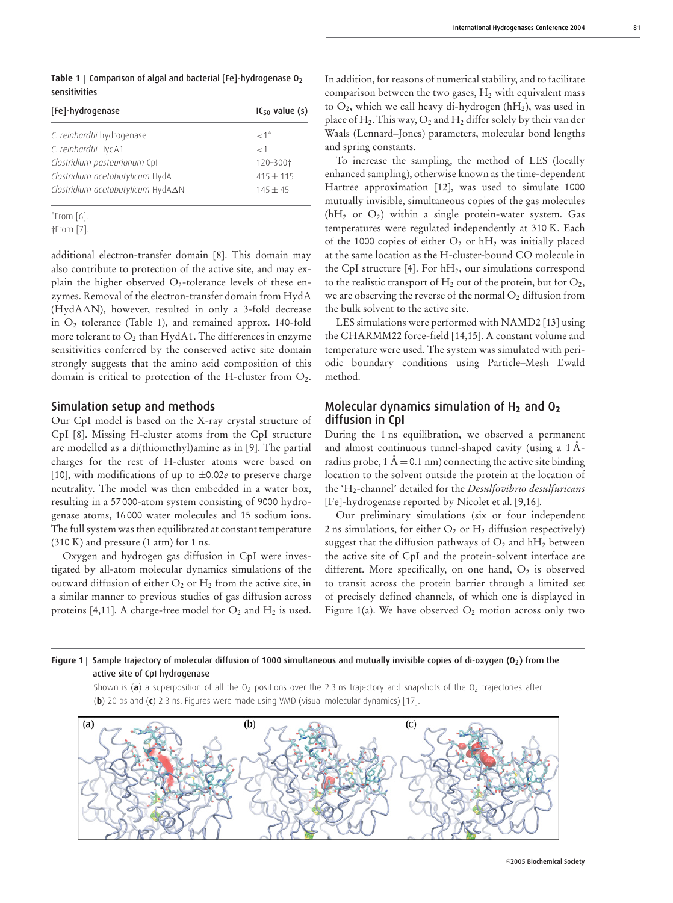Table 1 | Comparison of algal and bacterial [Fe]-hydrogenase O<sub>2</sub> sensitivities

| [Fe]-hydrogenase                  | $IC_{50}$ value (s) |
|-----------------------------------|---------------------|
| C. reinhardtii hydrogenase        | $\lt^{-1}$          |
| C. reinhardtii HydA1              | $\lt$ 1             |
| Clostridium pasteurianum Cpl      | 120-300†            |
| Clostridium acetobutylicum HydA   | $415 + 115$         |
| Clostridium acetobutylicum HydA∆N | $145 + 45$          |

\*From [6].

additional electron-transfer domain [8]. This domain may also contribute to protection of the active site, and may explain the higher observed  $O_2$ -tolerance levels of these enzymes. Removal of the electron-transfer domain from HydA (HydA $\Delta$ N), however, resulted in only a 3-fold decrease in  $O<sub>2</sub>$  tolerance (Table 1), and remained approx. 140-fold more tolerant to  $O_2$  than HydA1. The differences in enzyme sensitivities conferred by the conserved active site domain strongly suggests that the amino acid composition of this domain is critical to protection of the H-cluster from O2.

#### Simulation setup and methods

Our CpI model is based on the X-ray crystal structure of CpI [8]. Missing H-cluster atoms from the CpI structure are modelled as a di(thiomethyl)amine as in [9]. The partial charges for the rest of H-cluster atoms were based on [10], with modifications of up to  $\pm 0.02e$  to preserve charge neutrality. The model was then embedded in a water box, resulting in a 57 000-atom system consisting of 9000 hydrogenase atoms, 16 000 water molecules and 15 sodium ions. The full system was then equilibrated at constant temperature (310 K) and pressure (1 atm) for 1 ns.

Oxygen and hydrogen gas diffusion in CpI were investigated by all-atom molecular dynamics simulations of the outward diffusion of either  $O_2$  or  $H_2$  from the active site, in a similar manner to previous studies of gas diffusion across proteins [4,11]. A charge-free model for  $O_2$  and  $H_2$  is used. In addition, for reasons of numerical stability, and to facilitate comparison between the two gases,  $H_2$  with equivalent mass to  $O_2$ , which we call heavy di-hydrogen (hH<sub>2</sub>), was used in place of  $H_2$ . This way,  $O_2$  and  $H_2$  differ solely by their van der Waals (Lennard–Jones) parameters, molecular bond lengths and spring constants.

To increase the sampling, the method of LES (locally enhanced sampling), otherwise known as the time-dependent Hartree approximation [12], was used to simulate 1000 mutually invisible, simultaneous copies of the gas molecules  $(hH<sub>2</sub>$  or  $O<sub>2</sub>)$  within a single protein-water system. Gas temperatures were regulated independently at 310 K. Each of the 1000 copies of either  $O_2$  or  $hH_2$  was initially placed at the same location as the H-cluster-bound CO molecule in the CpI structure  $[4]$ . For  $hH_2$ , our simulations correspond to the realistic transport of  $H_2$  out of the protein, but for  $O_2$ , we are observing the reverse of the normal  $O<sub>2</sub>$  diffusion from the bulk solvent to the active site.

LES simulations were performed with NAMD2 [13] using the CHARMM22 force-field [14,15]. A constant volume and temperature were used. The system was simulated with periodic boundary conditions using Particle–Mesh Ewald method.

## Molecular dynamics simulation of H**<sup>2</sup>** and O**<sup>2</sup>** diffusion in CpI

During the 1 ns equilibration, we observed a permanent and almost continuous tunnel-shaped cavity (using a 1 Åradius probe, 1 Å = 0.1 nm) connecting the active site binding location to the solvent outside the protein at the location of the 'H2-channel' detailed for the *Desulfovibrio desulfuricans* [Fe]-hydrogenase reported by Nicolet et al. [9,16].

Our preliminary simulations (six or four independent 2 ns simulations, for either  $O_2$  or  $H_2$  diffusion respectively) suggest that the diffusion pathways of  $O_2$  and  $hH_2$  between the active site of CpI and the protein-solvent interface are different. More specifically, on one hand,  $O<sub>2</sub>$  is observed to transit across the protein barrier through a limited set of precisely defined channels, of which one is displayed in Figure 1(a). We have observed  $O_2$  motion across only two

#### Figure 1 | Sample trajectory of molecular diffusion of 1000 simultaneous and mutually invisible copies of di-oxygen (O<sub>2</sub>) from the active site of CpI hydrogenase

Shown is (a) a superposition of all the  $O_2$  positions over the 2.3 ns trajectory and snapshots of the  $O_2$  trajectories after (**b**) 20 ps and (**c**) 2.3 ns. Figures were made using VMD (visual molecular dynamics) [17].



<sup>†</sup>From [7].